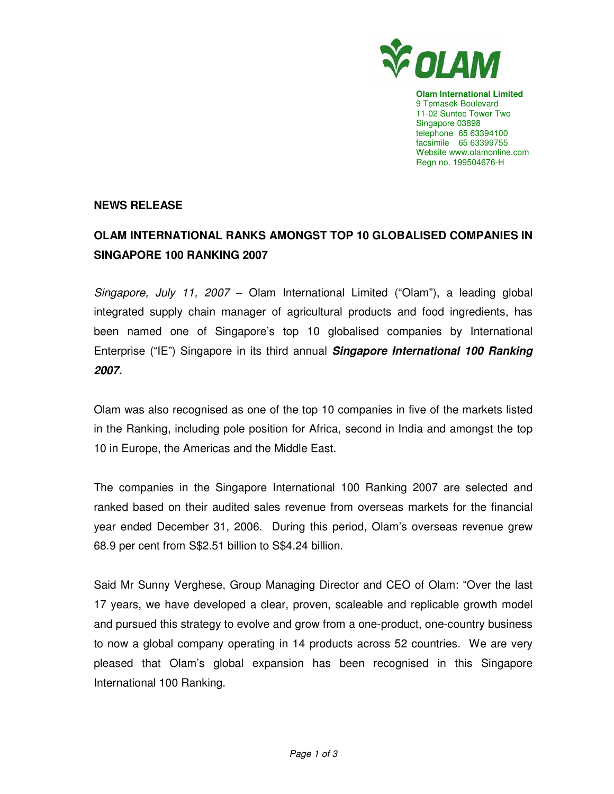

**Olam International Limited**  9 Temasek Boulevard 11-02 Suntec Tower Two Singapore 03898 telephone 65 63394100 facsimile 65 63399755 Website www.olamonline.com Regn no. 199504676-H

## **NEWS RELEASE**

# **OLAM INTERNATIONAL RANKS AMONGST TOP 10 GLOBALISED COMPANIES IN SINGAPORE 100 RANKING 2007**

Singapore, July 11, 2007 – Olam International Limited ("Olam"), a leading global integrated supply chain manager of agricultural products and food ingredients, has been named one of Singapore's top 10 globalised companies by International Enterprise ("IE") Singapore in its third annual **Singapore International 100 Ranking 2007.** 

Olam was also recognised as one of the top 10 companies in five of the markets listed in the Ranking, including pole position for Africa, second in India and amongst the top 10 in Europe, the Americas and the Middle East.

The companies in the Singapore International 100 Ranking 2007 are selected and ranked based on their audited sales revenue from overseas markets for the financial year ended December 31, 2006. During this period, Olam's overseas revenue grew 68.9 per cent from S\$2.51 billion to S\$4.24 billion.

Said Mr Sunny Verghese, Group Managing Director and CEO of Olam: "Over the last 17 years, we have developed a clear, proven, scaleable and replicable growth model and pursued this strategy to evolve and grow from a one-product, one-country business to now a global company operating in 14 products across 52 countries. We are very pleased that Olam's global expansion has been recognised in this Singapore International 100 Ranking.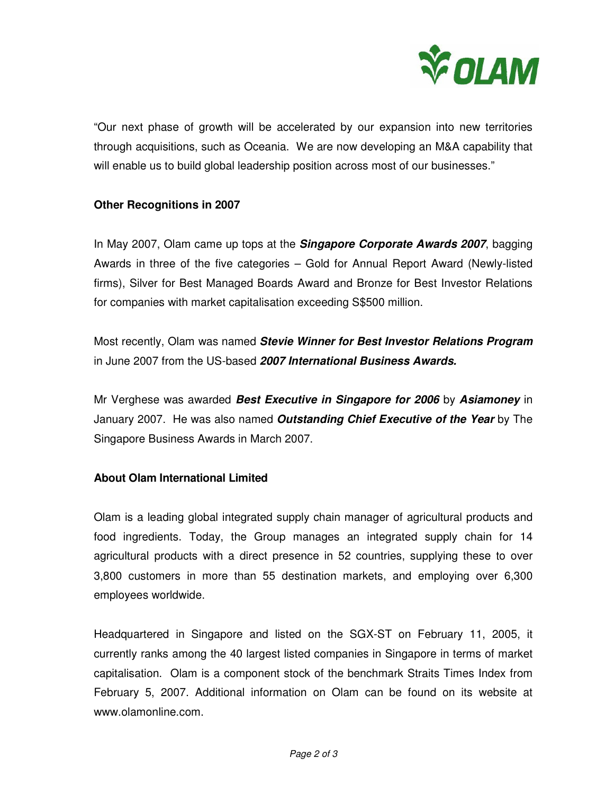

"Our next phase of growth will be accelerated by our expansion into new territories through acquisitions, such as Oceania. We are now developing an M&A capability that will enable us to build global leadership position across most of our businesses."

## **Other Recognitions in 2007**

In May 2007, Olam came up tops at the **Singapore Corporate Awards 2007**, bagging Awards in three of the five categories – Gold for Annual Report Award (Newly-listed firms), Silver for Best Managed Boards Award and Bronze for Best Investor Relations for companies with market capitalisation exceeding S\$500 million.

Most recently, Olam was named **Stevie Winner for Best Investor Relations Program**  in June 2007 from the US-based **2007 International Business Awards.** 

Mr Verghese was awarded **Best Executive in Singapore for 2006** by **Asiamoney** in January 2007. He was also named **Outstanding Chief Executive of the Year** by The Singapore Business Awards in March 2007.

## **About Olam International Limited**

Olam is a leading global integrated supply chain manager of agricultural products and food ingredients. Today, the Group manages an integrated supply chain for 14 agricultural products with a direct presence in 52 countries, supplying these to over 3,800 customers in more than 55 destination markets, and employing over 6,300 employees worldwide.

Headquartered in Singapore and listed on the SGX-ST on February 11, 2005, it currently ranks among the 40 largest listed companies in Singapore in terms of market capitalisation. Olam is a component stock of the benchmark Straits Times Index from February 5, 2007. Additional information on Olam can be found on its website at www.olamonline.com.